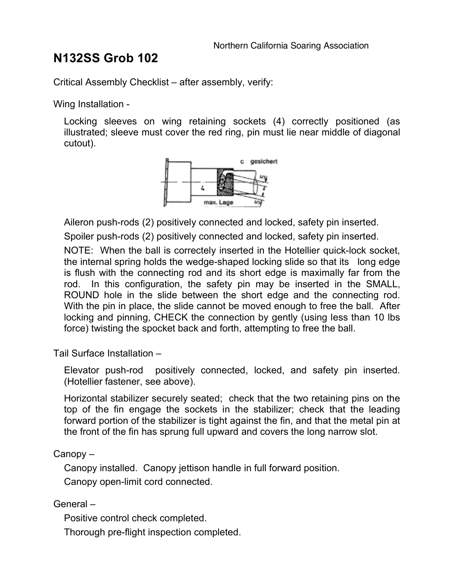## **N132SS Grob 102**

Critical Assembly Checklist – after assembly, verify:

Wing Installation -

Locking sleeves on wing retaining sockets (4) correctly positioned (as illustrated; sleeve must cover the red ring, pin must lie near middle of diagonal cutout).



Aileron push-rods (2) positively connected and locked, safety pin inserted. Spoiler push-rods (2) positively connected and locked, safety pin inserted.

NOTE: When the ball is correctely inserted in the Hotellier quick-lock socket, the internal spring holds the wedge-shaped locking slide so that its long edge is flush with the connecting rod and its short edge is maximally far from the rod. In this configuration, the safety pin may be inserted in the SMALL, ROUND hole in the slide between the short edge and the connecting rod. With the pin in place, the slide cannot be moved enough to free the ball. After locking and pinning, CHECK the connection by gently (using less than 10 lbs force) twisting the spocket back and forth, attempting to free the ball.

Tail Surface Installation –

Elevator push-rod positively connected, locked, and safety pin inserted. (Hotellier fastener, see above).

Horizontal stabilizer securely seated; check that the two retaining pins on the top of the fin engage the sockets in the stabilizer; check that the leading forward portion of the stabilizer is tight against the fin, and that the metal pin at the front of the fin has sprung full upward and covers the long narrow slot.

Canopy –

Canopy installed. Canopy jettison handle in full forward position. Canopy open-limit cord connected.

General –

Positive control check completed.

Thorough pre-flight inspection completed.